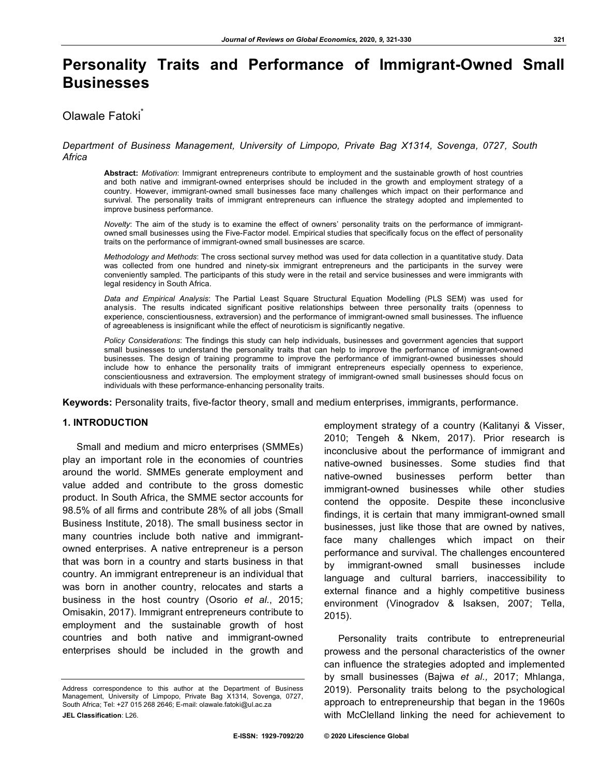# **Personality Traits and Performance of Immigrant-Owned Small Businesses**

# Olawale Fatoki

# *Department of Business Management, University of Limpopo, Private Bag X1314, Sovenga, 0727, South Africa*

**Abstract:** *Motivation*: Immigrant entrepreneurs contribute to employment and the sustainable growth of host countries and both native and immigrant-owned enterprises should be included in the growth and employment strategy of a country. However, immigrant-owned small businesses face many challenges which impact on their performance and survival. The personality traits of immigrant entrepreneurs can influence the strategy adopted and implemented to improve business performance.

*Novelty*: The aim of the study is to examine the effect of owners' personality traits on the performance of immigrantowned small businesses using the Five-Factor model. Empirical studies that specifically focus on the effect of personality traits on the performance of immigrant-owned small businesses are scarce.

*Methodology and Methods*: The cross sectional survey method was used for data collection in a quantitative study. Data was collected from one hundred and ninety-six immigrant entrepreneurs and the participants in the survey were conveniently sampled. The participants of this study were in the retail and service businesses and were immigrants with legal residency in South Africa.

*Data and Empirical Analysis*: The Partial Least Square Structural Equation Modelling (PLS SEM) was used for analysis. The results indicated significant positive relationships between three personality traits (openness to experience, conscientiousness, extraversion) and the performance of immigrant-owned small businesses. The influence of agreeableness is insignificant while the effect of neuroticism is significantly negative.

*Policy Considerations*: The findings this study can help individuals, businesses and government agencies that support small businesses to understand the personality traits that can help to improve the performance of immigrant-owned businesses. The design of training programme to improve the performance of immigrant-owned businesses should include how to enhance the personality traits of immigrant entrepreneurs especially openness to experience, conscientiousness and extraversion. The employment strategy of immigrant-owned small businesses should focus on individuals with these performance-enhancing personality traits.

**Keywords:** Personality traits, five-factor theory, small and medium enterprises, immigrants, performance.

# **1. INTRODUCTION**

Small and medium and micro enterprises (SMMEs) play an important role in the economies of countries around the world. SMMEs generate employment and value added and contribute to the gross domestic product. In South Africa, the SMME sector accounts for 98.5% of all firms and contribute 28% of all jobs (Small Business Institute, 2018). The small business sector in many countries include both native and immigrantowned enterprises. A native entrepreneur is a person that was born in a country and starts business in that country. An immigrant entrepreneur is an individual that was born in another country, relocates and starts a business in the host country (Osorio *et al*., 2015; Omisakin, 2017). Immigrant entrepreneurs contribute to employment and the sustainable growth of host countries and both native and immigrant-owned enterprises should be included in the growth and

Address correspondence to this author at the Department of Business Management, University of Limpopo, Private Bag X1314, Sovenga, 0727, South Africa; Tel: +27 015 268 2646; E-mail: olawale.fatoki@ul.ac.za **JEL Classification**: L26.

employment strategy of a country (Kalitanyi & Visser, 2010; Tengeh & Nkem, 2017). Prior research is inconclusive about the performance of immigrant and native-owned businesses. Some studies find that native-owned businesses perform better than immigrant-owned businesses while other studies contend the opposite. Despite these inconclusive findings, it is certain that many immigrant-owned small businesses, just like those that are owned by natives, face many challenges which impact on their performance and survival. The challenges encountered by immigrant-owned small businesses include language and cultural barriers, inaccessibility to external finance and a highly competitive business environment (Vinogradov & Isaksen, 2007; Tella, 2015).

Personality traits contribute to entrepreneurial prowess and the personal characteristics of the owner can influence the strategies adopted and implemented by small businesses (Bajwa *et al.,* 2017; Mhlanga, 2019). Personality traits belong to the psychological approach to entrepreneurship that began in the 1960s with McClelland linking the need for achievement to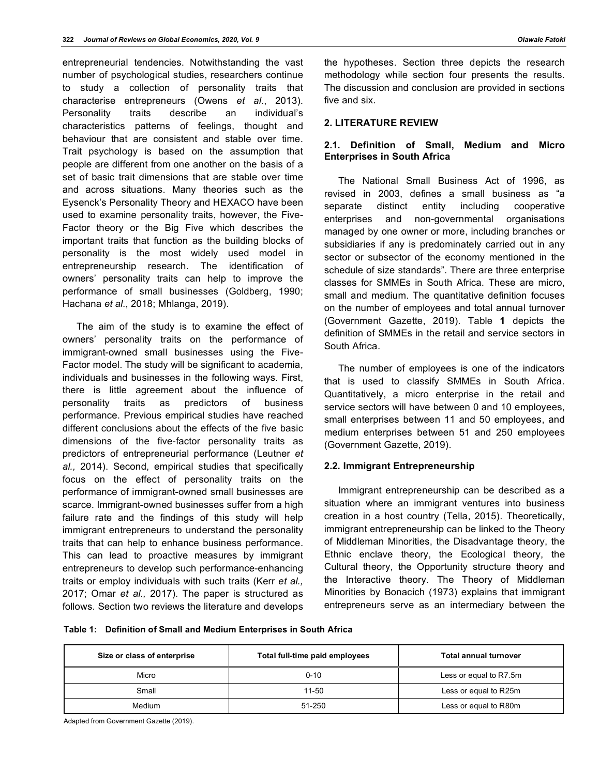entrepreneurial tendencies. Notwithstanding the vast number of psychological studies, researchers continue to study a collection of personality traits that characterise entrepreneurs (Owens *et al*., 2013). Personality traits describe an individual's characteristics patterns of feelings, thought and behaviour that are consistent and stable over time. Trait psychology is based on the assumption that people are different from one another on the basis of a set of basic trait dimensions that are stable over time and across situations. Many theories such as the Eysenck's Personality Theory and HEXACO have been used to examine personality traits, however, the Five-Factor theory or the Big Five which describes the important traits that function as the building blocks of personality is the most widely used model in entrepreneurship research. The identification of owners' personality traits can help to improve the performance of small businesses (Goldberg, 1990; Hachana *et al.*, 2018; Mhlanga, 2019).

The aim of the study is to examine the effect of owners' personality traits on the performance of immigrant-owned small businesses using the Five-Factor model. The study will be significant to academia, individuals and businesses in the following ways. First, there is little agreement about the influence of personality traits as predictors of business performance. Previous empirical studies have reached different conclusions about the effects of the five basic dimensions of the five-factor personality traits as predictors of entrepreneurial performance (Leutner *et al.,* 2014). Second, empirical studies that specifically focus on the effect of personality traits on the performance of immigrant-owned small businesses are scarce. Immigrant-owned businesses suffer from a high failure rate and the findings of this study will help immigrant entrepreneurs to understand the personality traits that can help to enhance business performance. This can lead to proactive measures by immigrant entrepreneurs to develop such performance-enhancing traits or employ individuals with such traits (Kerr *et al.,* 2017; Omar *et al.,* 2017). The paper is structured as follows. Section two reviews the literature and develops

the hypotheses. Section three depicts the research methodology while section four presents the results. The discussion and conclusion are provided in sections five and six.

## **2. LITERATURE REVIEW**

# **2.1. Definition of Small, Medium and Micro Enterprises in South Africa**

The National Small Business Act of 1996, as revised in 2003, defines a small business as "a separate distinct entity including cooperative enterprises and non-governmental organisations managed by one owner or more, including branches or subsidiaries if any is predominately carried out in any sector or subsector of the economy mentioned in the schedule of size standards". There are three enterprise classes for SMMEs in South Africa. These are micro, small and medium. The quantitative definition focuses on the number of employees and total annual turnover (Government Gazette, 2019). Table **1** depicts the definition of SMMEs in the retail and service sectors in South Africa.

The number of employees is one of the indicators that is used to classify SMMEs in South Africa. Quantitatively, a micro enterprise in the retail and service sectors will have between 0 and 10 employees, small enterprises between 11 and 50 employees, and medium enterprises between 51 and 250 employees (Government Gazette, 2019).

## **2.2. Immigrant Entrepreneurship**

Immigrant entrepreneurship can be described as a situation where an immigrant ventures into business creation in a host country (Tella, 2015). Theoretically, immigrant entrepreneurship can be linked to the Theory of Middleman Minorities, the Disadvantage theory, the Ethnic enclave theory, the Ecological theory, the Cultural theory, the Opportunity structure theory and the Interactive theory. The Theory of Middleman Minorities by Bonacich (1973) explains that immigrant entrepreneurs serve as an intermediary between the

**Table 1: Definition of Small and Medium Enterprises in South Africa**

| Size or class of enterprise | Total full-time paid employees | Total annual turnover  |
|-----------------------------|--------------------------------|------------------------|
| Micro                       | $0 - 10$                       | Less or equal to R7.5m |
| Small                       | 11-50                          | Less or equal to R25m  |
| Medium                      | $51 - 250$                     | Less or equal to R80m  |

Adapted from Government Gazette (2019).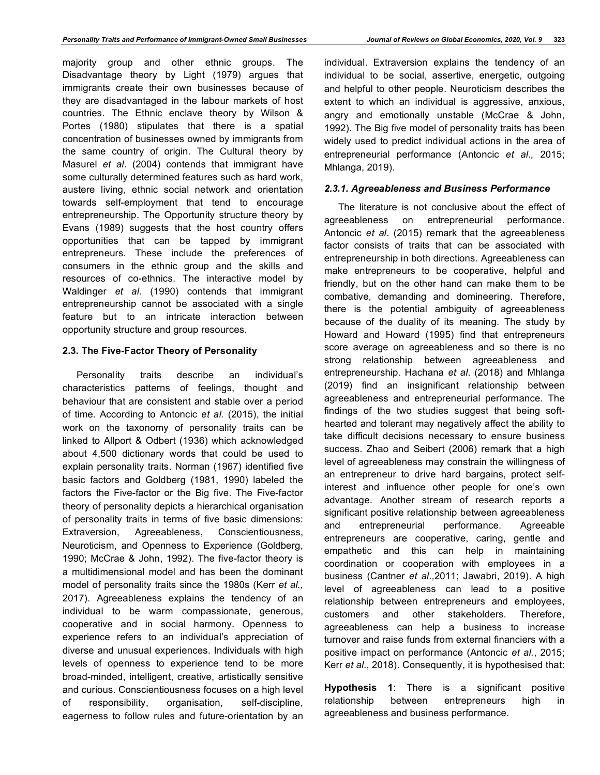majority group and other ethnic groups. The Disadvantage theory by Light (1979) argues that immigrants create their own businesses because of they are disadvantaged in the labour markets of host countries. The Ethnic enclave theory by Wilson & Portes (1980) stipulates that there is a spatial concentration of businesses owned by immigrants from the same country of origin. The Cultural theory by Masurel *et al*. (2004) contends that immigrant have some culturally determined features such as hard work, austere living, ethnic social network and orientation towards self-employment that tend to encourage entrepreneurship. The Opportunity structure theory by Evans (1989) suggests that the host country offers opportunities that can be tapped by immigrant entrepreneurs. These include the preferences of consumers in the ethnic group and the skills and resources of co-ethnics. The interactive model by Waldinger *et al.* (1990) contends that immigrant entrepreneurship cannot be associated with a single feature but to an intricate interaction between opportunity structure and group resources.

# **2.3. The Five-Factor Theory of Personality**

Personality traits describe an individual's characteristics patterns of feelings, thought and behaviour that are consistent and stable over a period of time. According to Antoncic *et al.* (2015), the initial work on the taxonomy of personality traits can be linked to Allport & Odbert (1936) which acknowledged about 4,500 dictionary words that could be used to explain personality traits. Norman (1967) identified five basic factors and Goldberg (1981, 1990) labeled the factors the Five-factor or the Big five. The Five-factor theory of personality depicts a hierarchical organisation of personality traits in terms of five basic dimensions: Extraversion, Agreeableness, Conscientiousness, Neuroticism, and Openness to Experience (Goldberg, 1990; McCrae & John, 1992). The five-factor theory is a multidimensional model and has been the dominant model of personality traits since the 1980s (Kerr *et al.,* 2017). Agreeableness explains the tendency of an individual to be warm compassionate, generous, cooperative and in social harmony. Openness to experience refers to an individual's appreciation of diverse and unusual experiences. Individuals with high levels of openness to experience tend to be more broad-minded, intelligent, creative, artistically sensitive and curious. Conscientiousness focuses on a high level of responsibility, organisation, self-discipline, eagerness to follow rules and future-orientation by an

individual. Extraversion explains the tendency of an individual to be social, assertive, energetic, outgoing and helpful to other people. Neuroticism describes the extent to which an individual is aggressive, anxious, angry and emotionally unstable (McCrae & John, 1992). The Big five model of personality traits has been widely used to predict individual actions in the area of entrepreneurial performance (Antoncic *et al.,* 2015; Mhlanga, 2019).

# *2.3.1. Agreeableness and Business Performance*

The literature is not conclusive about the effect of agreeableness on entrepreneurial performance. Antoncic *et al*. (2015) remark that the agreeableness factor consists of traits that can be associated with entrepreneurship in both directions. Agreeableness can make entrepreneurs to be cooperative, helpful and friendly, but on the other hand can make them to be combative, demanding and domineering. Therefore, there is the potential ambiguity of agreeableness because of the duality of its meaning. The study by Howard and Howard (1995) find that entrepreneurs score average on agreeableness and so there is no strong relationship between agreeableness and entrepreneurship. Hachana *et al*. (2018) and Mhlanga (2019) find an insignificant relationship between agreeableness and entrepreneurial performance. The findings of the two studies suggest that being softhearted and tolerant may negatively affect the ability to take difficult decisions necessary to ensure business success. Zhao and Seibert (2006) remark that a high level of agreeableness may constrain the willingness of an entrepreneur to drive hard bargains, protect selfinterest and influence other people for one's own advantage. Another stream of research reports a significant positive relationship between agreeableness and entrepreneurial performance. Agreeable entrepreneurs are cooperative, caring, gentle and empathetic and this can help in maintaining coordination or cooperation with employees in a business (Cantner *et al.,*2011; Jawabri, 2019). A high level of agreeableness can lead to a positive relationship between entrepreneurs and employees, customers and other stakeholders. Therefore, agreeableness can help a business to increase turnover and raise funds from external financiers with a positive impact on performance (Antoncic *et al.*, 2015; Kerr *et al.*, 2018). Consequently, it is hypothesised that:

**Hypothesis 1**: There is a significant positive relationship between entrepreneurs high in agreeableness and business performance.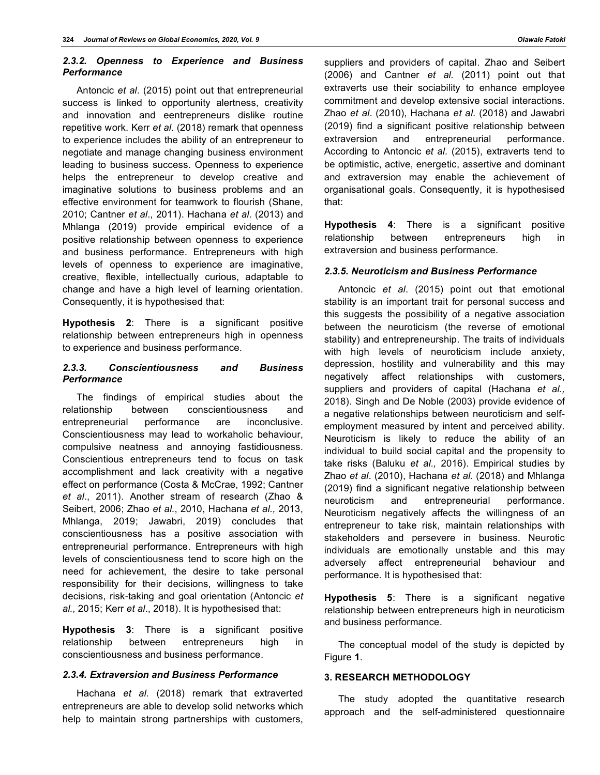# *2.3.2. Openness to Experience and Business Performance*

Antoncic *et al*. (2015) point out that entrepreneurial success is linked to opportunity alertness, creativity and innovation and eentrepreneurs dislike routine repetitive work. Kerr *et al.* (2018) remark that openness to experience includes the ability of an entrepreneur to negotiate and manage changing business environment leading to business success. Openness to experience helps the entrepreneur to develop creative and imaginative solutions to business problems and an effective environment for teamwork to flourish (Shane, 2010; Cantner *et al*., 2011). Hachana *et al*. (2013) and Mhlanga (2019) provide empirical evidence of a positive relationship between openness to experience and business performance. Entrepreneurs with high levels of openness to experience are imaginative, creative, flexible, intellectually curious, adaptable to change and have a high level of learning orientation. Consequently, it is hypothesised that:

**Hypothesis 2**: There is a significant positive relationship between entrepreneurs high in openness to experience and business performance.

# *2.3.3. Conscientiousness and Business Performance*

The findings of empirical studies about the relationship between conscientiousness and entrepreneurial performance are inconclusive. Conscientiousness may lead to workaholic behaviour, compulsive neatness and annoying fastidiousness. Conscientious entrepreneurs tend to focus on task accomplishment and lack creativity with a negative effect on performance (Costa & McCrae, 1992; Cantner *et al*., 2011). Another stream of research (Zhao & Seibert, 2006; Zhao *et al.*, 2010, Hachana *et al.,* 2013, Mhlanga, 2019; Jawabri, 2019) concludes that conscientiousness has a positive association with entrepreneurial performance. Entrepreneurs with high levels of conscientiousness tend to score high on the need for achievement, the desire to take personal responsibility for their decisions, willingness to take decisions, risk-taking and goal orientation (Antoncic *et al.,* 2015; Kerr *et al*., 2018). It is hypothesised that:

**Hypothesis 3**: There is a significant positive relationship between entrepreneurs high in conscientiousness and business performance.

## *2.3.4. Extraversion and Business Performance*

Hachana *et al.* (2018) remark that extraverted entrepreneurs are able to develop solid networks which help to maintain strong partnerships with customers,

suppliers and providers of capital. Zhao and Seibert (2006) and Cantner *et al.* (2011) point out that extraverts use their sociability to enhance employee commitment and develop extensive social interactions. Zhao *et al*. (2010), Hachana *et al*. (2018) and Jawabri (2019) find a significant positive relationship between extraversion and entrepreneurial performance. According to Antoncic *et al.* (2015), extraverts tend to be optimistic, active, energetic, assertive and dominant and extraversion may enable the achievement of organisational goals. Consequently, it is hypothesised that:

**Hypothesis 4**: There is a significant positive relationship between entrepreneurs high in extraversion and business performance.

# *2.3.5. Neuroticism and Business Performance*

Antoncic *et al*. (2015) point out that emotional stability is an important trait for personal success and this suggests the possibility of a negative association between the neuroticism (the reverse of emotional stability) and entrepreneurship. The traits of individuals with high levels of neuroticism include anxiety, depression, hostility and vulnerability and this may negatively affect relationships with customers, suppliers and providers of capital (Hachana *et al.,* 2018). Singh and De Noble (2003) provide evidence of a negative relationships between neuroticism and selfemployment measured by intent and perceived ability. Neuroticism is likely to reduce the ability of an individual to build social capital and the propensity to take risks (Baluku *et al.,* 2016). Empirical studies by Zhao *et al*. (2010), Hachana *et al.* (2018) and Mhlanga (2019) find a significant negative relationship between neuroticism and entrepreneurial performance. Neuroticism negatively affects the willingness of an entrepreneur to take risk, maintain relationships with stakeholders and persevere in business. Neurotic individuals are emotionally unstable and this may adversely affect entrepreneurial behaviour and performance. It is hypothesised that:

**Hypothesis 5**: There is a significant negative relationship between entrepreneurs high in neuroticism and business performance.

The conceptual model of the study is depicted by Figure **1**.

# **3. RESEARCH METHODOLOGY**

The study adopted the quantitative research approach and the self-administered questionnaire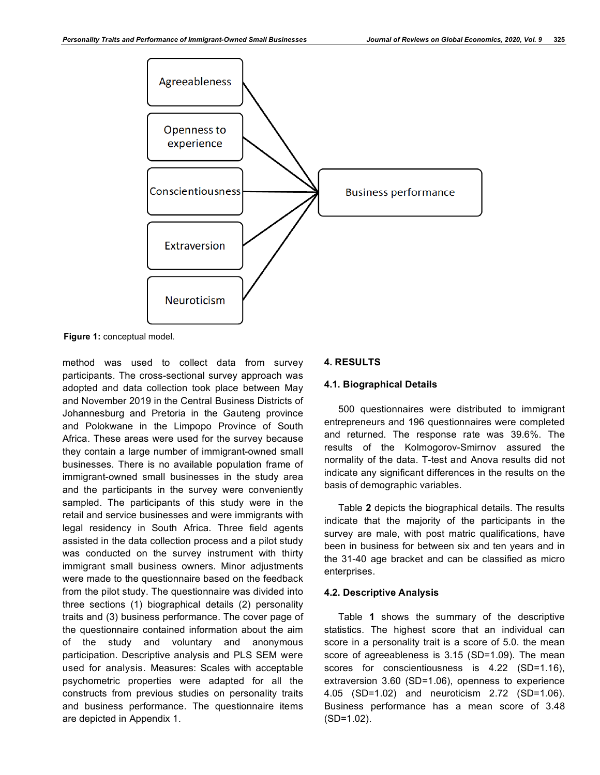

**Figure 1:** conceptual model.

method was used to collect data from survey participants. The cross-sectional survey approach was adopted and data collection took place between May and November 2019 in the Central Business Districts of Johannesburg and Pretoria in the Gauteng province and Polokwane in the Limpopo Province of South Africa. These areas were used for the survey because they contain a large number of immigrant-owned small businesses. There is no available population frame of immigrant-owned small businesses in the study area and the participants in the survey were conveniently sampled. The participants of this study were in the retail and service businesses and were immigrants with legal residency in South Africa. Three field agents assisted in the data collection process and a pilot study was conducted on the survey instrument with thirty immigrant small business owners. Minor adjustments were made to the questionnaire based on the feedback from the pilot study. The questionnaire was divided into three sections (1) biographical details (2) personality traits and (3) business performance. The cover page of the questionnaire contained information about the aim of the study and voluntary and anonymous participation. Descriptive analysis and PLS SEM were used for analysis. Measures: Scales with acceptable psychometric properties were adapted for all the constructs from previous studies on personality traits and business performance. The questionnaire items are depicted in Appendix 1.

# **4. RESULTS**

# **4.1. Biographical Details**

500 questionnaires were distributed to immigrant entrepreneurs and 196 questionnaires were completed and returned. The response rate was 39.6%. The results of the Kolmogorov-Smirnov assured the normality of the data. T-test and Anova results did not indicate any significant differences in the results on the basis of demographic variables.

Table **2** depicts the biographical details. The results indicate that the majority of the participants in the survey are male, with post matric qualifications, have been in business for between six and ten years and in the 31-40 age bracket and can be classified as micro enterprises.

# **4.2. Descriptive Analysis**

Table **1** shows the summary of the descriptive statistics. The highest score that an individual can score in a personality trait is a score of 5.0. the mean score of agreeableness is 3.15 (SD=1.09). The mean scores for conscientiousness is 4.22 (SD=1.16), extraversion 3.60 (SD=1.06), openness to experience 4.05 (SD=1.02) and neuroticism 2.72 (SD=1.06). Business performance has a mean score of 3.48 (SD=1.02).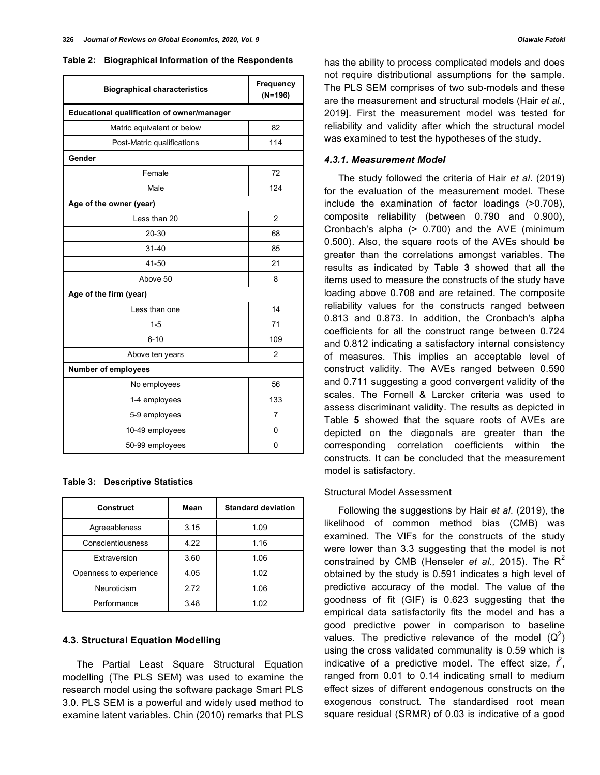**Table 2: Biographical Information of the Respondents**

| <b>Biographical characteristics</b>        | Frequency<br>$(N=196)$ |  |  |
|--------------------------------------------|------------------------|--|--|
| Educational qualification of owner/manager |                        |  |  |
| Matric equivalent or below                 | 82                     |  |  |
| Post-Matric qualifications                 | 114                    |  |  |
| Gender                                     |                        |  |  |
| Female                                     | 72                     |  |  |
| Male                                       | 124                    |  |  |
| Age of the owner (year)                    |                        |  |  |
| Less than 20                               | $\overline{2}$         |  |  |
| 20-30                                      | 68                     |  |  |
| $31 - 40$                                  | 85                     |  |  |
| 41-50                                      | 21                     |  |  |
| Above 50                                   | 8                      |  |  |
| Age of the firm (year)                     |                        |  |  |
| Less than one                              | 14                     |  |  |
| 1-5                                        | 71                     |  |  |
| $6 - 10$                                   | 109                    |  |  |
| Above ten years                            | 2                      |  |  |
| <b>Number of employees</b>                 |                        |  |  |
| No employees                               | 56                     |  |  |
| 1-4 employees                              | 133                    |  |  |
| 5-9 employees                              | 7                      |  |  |
| 10-49 employees                            | 0                      |  |  |
| 50-99 employees                            | 0                      |  |  |

#### **Table 3: Descriptive Statistics**

| <b>Construct</b>       | Mean | <b>Standard deviation</b> |
|------------------------|------|---------------------------|
| Agreeableness          | 3.15 | 1.09                      |
| Conscientiousness      | 422  | 1.16                      |
| Extraversion           | 3.60 | 1.06                      |
| Openness to experience | 4.05 | 1.02                      |
| Neuroticism            | 272  | 1.06                      |
| Performance            | 3.48 | 1.02                      |

#### **4.3. Structural Equation Modelling**

The Partial Least Square Structural Equation modelling (The PLS SEM) was used to examine the research model using the software package Smart PLS 3.0. PLS SEM is a powerful and widely used method to examine latent variables. Chin (2010) remarks that PLS has the ability to process complicated models and does not require distributional assumptions for the sample. The PLS SEM comprises of two sub-models and these are the measurement and structural models (Hair *et al*., 2019]. First the measurement model was tested for reliability and validity after which the structural model was examined to test the hypotheses of the study.

#### *4.3.1. Measurement Model*

The study followed the criteria of Hair *et al*. (2019) for the evaluation of the measurement model. These include the examination of factor loadings (>0.708), composite reliability (between 0.790 and 0.900), Cronbach's alpha (> 0.700) and the AVE (minimum 0.500). Also, the square roots of the AVEs should be greater than the correlations amongst variables. The results as indicated by Table **3** showed that all the items used to measure the constructs of the study have loading above 0.708 and are retained. The composite reliability values for the constructs ranged between 0.813 and 0.873. In addition, the Cronbach's alpha coefficients for all the construct range between 0.724 and 0.812 indicating a satisfactory internal consistency of measures. This implies an acceptable level of construct validity. The AVEs ranged between 0.590 and 0.711 suggesting a good convergent validity of the scales. The Fornell & Larcker criteria was used to assess discriminant validity. The results as depicted in Table **5** showed that the square roots of AVEs are depicted on the diagonals are greater than the corresponding correlation coefficients within the constructs. It can be concluded that the measurement model is satisfactory.

#### Structural Model Assessment

Following the suggestions by Hair *et al*. (2019), the likelihood of common method bias (CMB) was examined. The VIFs for the constructs of the study were lower than 3.3 suggesting that the model is not constrained by CMB (Henseler *et al.*, 2015). The R<sup>2</sup> obtained by the study is 0.591 indicates a high level of predictive accuracy of the model. The value of the goodness of fit (GIF) is 0.623 suggesting that the empirical data satisfactorily fits the model and has a good predictive power in comparison to baseline values. The predictive relevance of the model  $(Q^2)$ using the cross validated communality is 0.59 which is indicative of a predictive model. The effect size,  $\hat{r}$ , ranged from 0.01 to 0.14 indicating small to medium effect sizes of different endogenous constructs on the exogenous construct. The standardised root mean square residual (SRMR) of 0.03 is indicative of a good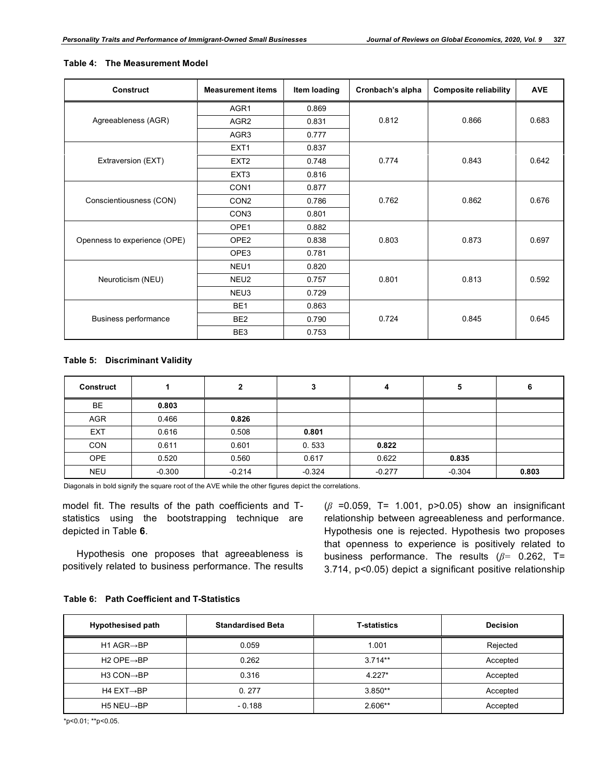| <b>Construct</b>             | <b>Measurement items</b> | Item loading | Cronbach's alpha | <b>Composite reliability</b> | <b>AVE</b> |
|------------------------------|--------------------------|--------------|------------------|------------------------------|------------|
|                              | AGR <sub>1</sub>         | 0.869        |                  |                              |            |
| Agreeableness (AGR)          | AGR <sub>2</sub>         | 0.831        | 0.812            | 0.866                        | 0.683      |
|                              | AGR <sub>3</sub>         | 0.777        |                  |                              |            |
|                              | EXT <sub>1</sub>         | 0.837        |                  |                              |            |
| Extraversion (EXT)           | EXT <sub>2</sub>         | 0.748        | 0.774            | 0.843                        | 0.642      |
|                              | EXT <sub>3</sub>         | 0.816        |                  |                              |            |
|                              | CON <sub>1</sub>         | 0.877        |                  |                              |            |
| Conscientiousness (CON)      | CON <sub>2</sub>         | 0.786        | 0.762            | 0.862                        | 0.676      |
|                              | CON <sub>3</sub>         | 0.801        |                  |                              |            |
|                              | OPE1                     | 0.882        |                  |                              |            |
| Openness to experience (OPE) | OPE <sub>2</sub>         | 0.838        | 0.803            | 0.873                        | 0.697      |
|                              | OPE3                     | 0.781        |                  |                              |            |
|                              | NEU1                     | 0.820        |                  |                              |            |
| Neuroticism (NEU)            | NEU2                     | 0.757        | 0.801            | 0.813                        | 0.592      |
|                              | NEU3                     | 0.729        |                  |                              |            |
|                              | BE <sub>1</sub>          | 0.863        |                  |                              |            |
| Business performance         | BE <sub>2</sub>          | 0.790        | 0.724            | 0.845                        | 0.645      |
|                              | BE3                      | 0.753        |                  |                              |            |

## **Table 4: The Measurement Model**

# **Table 5: Discriminant Validity**

| <b>Construct</b> |          | 2        |          | 4        | 5        | 6     |
|------------------|----------|----------|----------|----------|----------|-------|
| BE               | 0.803    |          |          |          |          |       |
| <b>AGR</b>       | 0.466    | 0.826    |          |          |          |       |
| EXT              | 0.616    | 0.508    | 0.801    |          |          |       |
| <b>CON</b>       | 0.611    | 0.601    | 0.533    | 0.822    |          |       |
| <b>OPE</b>       | 0.520    | 0.560    | 0.617    | 0.622    | 0.835    |       |
| <b>NEU</b>       | $-0.300$ | $-0.214$ | $-0.324$ | $-0.277$ | $-0.304$ | 0.803 |

Diagonals in bold signify the square root of the AVE while the other figures depict the correlations.

model fit. The results of the path coefficients and Tstatistics using the bootstrapping technique are depicted in Table **6**.

Hypothesis one proposes that agreeableness is positively related to business performance. The results (*β* =0.059, T= 1.001, p>0.05) show an insignificant relationship between agreeableness and performance. Hypothesis one is rejected. Hypothesis two proposes that openness to experience is positively related to business performance. The results (*β=* 0.262, T= 3.714, p<0.05) depict a significant positive relationship

|  | Table 6: Path Coefficient and T-Statistics |
|--|--------------------------------------------|
|--|--------------------------------------------|

| <b>Hypothesised path</b>            | <b>Standardised Beta</b> | <b>T-statistics</b> | <b>Decision</b> |
|-------------------------------------|--------------------------|---------------------|-----------------|
| H1 AGR $\rightarrow$ BP             | 0.059                    | 1.001               | Rejected        |
| H <sub>2</sub> OPE $\rightarrow$ BP | 0.262                    | $3.714**$           | Accepted        |
| $H3$ CON $\rightarrow$ BP           | 0.316                    | $4.227*$            | Accepted        |
| H4 $EXT \rightarrow BP$             | 0.277                    | $3.850**$           | Accepted        |
| H5 NEU $\rightarrow$ BP             | $-0.188$                 | $2.606**$           | Accepted        |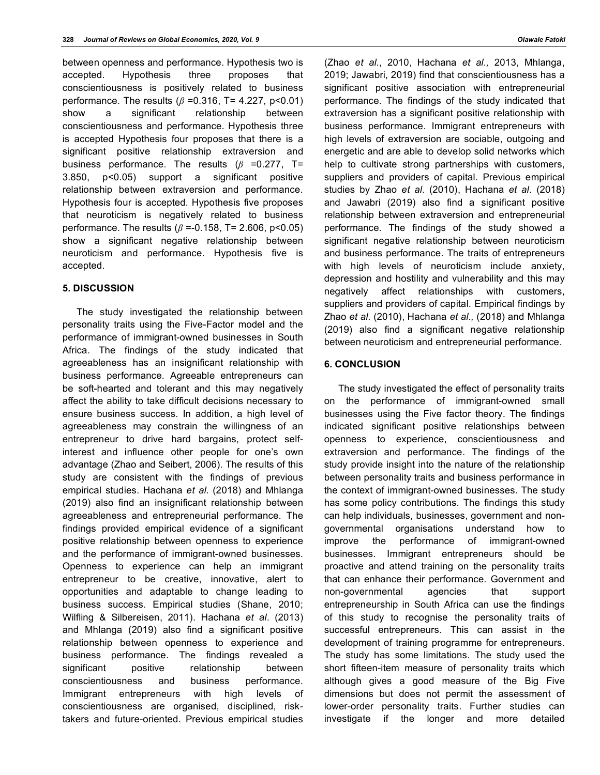between openness and performance. Hypothesis two is accepted. Hypothesis three proposes that conscientiousness is positively related to business performance. The results (*β* =0.316, T= 4.227, p<0.01) show a significant relationship between conscientiousness and performance. Hypothesis three is accepted Hypothesis four proposes that there is a significant positive relationship extraversion and business performance. The results (*β* =0.277, T= 3.850, p<0.05) support a significant positive relationship between extraversion and performance. Hypothesis four is accepted. Hypothesis five proposes that neuroticism is negatively related to business performance. The results (*β* =-0.158, T= 2.606, p<0.05) show a significant negative relationship between neuroticism and performance. Hypothesis five is accepted.

# **5. DISCUSSION**

The study investigated the relationship between personality traits using the Five-Factor model and the performance of immigrant-owned businesses in South Africa. The findings of the study indicated that agreeableness has an insignificant relationship with business performance. Agreeable entrepreneurs can be soft-hearted and tolerant and this may negatively affect the ability to take difficult decisions necessary to ensure business success. In addition, a high level of agreeableness may constrain the willingness of an entrepreneur to drive hard bargains, protect selfinterest and influence other people for one's own advantage (Zhao and Seibert, 2006). The results of this study are consistent with the findings of previous empirical studies. Hachana *et al*. (2018) and Mhlanga (2019) also find an insignificant relationship between agreeableness and entrepreneurial performance. The findings provided empirical evidence of a significant positive relationship between openness to experience and the performance of immigrant-owned businesses. Openness to experience can help an immigrant entrepreneur to be creative, innovative, alert to opportunities and adaptable to change leading to business success. Empirical studies (Shane, 2010; Wilfling & Silbereisen, 2011). Hachana *et al*. (2013) and Mhlanga (2019) also find a significant positive relationship between openness to experience and business performance. The findings revealed a significant positive relationship between conscientiousness and business performance. Immigrant entrepreneurs with high levels of conscientiousness are organised, disciplined, risktakers and future-oriented. Previous empirical studies (Zhao *et al.*, 2010, Hachana *et al.,* 2013, Mhlanga, 2019; Jawabri, 2019) find that conscientiousness has a significant positive association with entrepreneurial performance. The findings of the study indicated that extraversion has a significant positive relationship with business performance. Immigrant entrepreneurs with high levels of extraversion are sociable, outgoing and energetic and are able to develop solid networks which help to cultivate strong partnerships with customers, suppliers and providers of capital. Previous empirical studies by Zhao *et al*. (2010), Hachana *et al*. (2018) and Jawabri (2019) also find a significant positive relationship between extraversion and entrepreneurial performance. The findings of the study showed a significant negative relationship between neuroticism and business performance. The traits of entrepreneurs with high levels of neuroticism include anxiety, depression and hostility and vulnerability and this may negatively affect relationships with customers, suppliers and providers of capital. Empirical findings by Zhao *et al*. (2010), Hachana *et al.,* (2018) and Mhlanga (2019) also find a significant negative relationship between neuroticism and entrepreneurial performance.

#### **6. CONCLUSION**

The study investigated the effect of personality traits on the performance of immigrant-owned small businesses using the Five factor theory. The findings indicated significant positive relationships between openness to experience, conscientiousness and extraversion and performance. The findings of the study provide insight into the nature of the relationship between personality traits and business performance in the context of immigrant-owned businesses. The study has some policy contributions. The findings this study can help individuals, businesses, government and nongovernmental organisations understand how to improve the performance of immigrant-owned businesses. Immigrant entrepreneurs should be proactive and attend training on the personality traits that can enhance their performance. Government and non-governmental agencies that support entrepreneurship in South Africa can use the findings of this study to recognise the personality traits of successful entrepreneurs. This can assist in the development of training programme for entrepreneurs. The study has some limitations. The study used the short fifteen-item measure of personality traits which although gives a good measure of the Big Five dimensions but does not permit the assessment of lower-order personality traits. Further studies can investigate if the longer and more detailed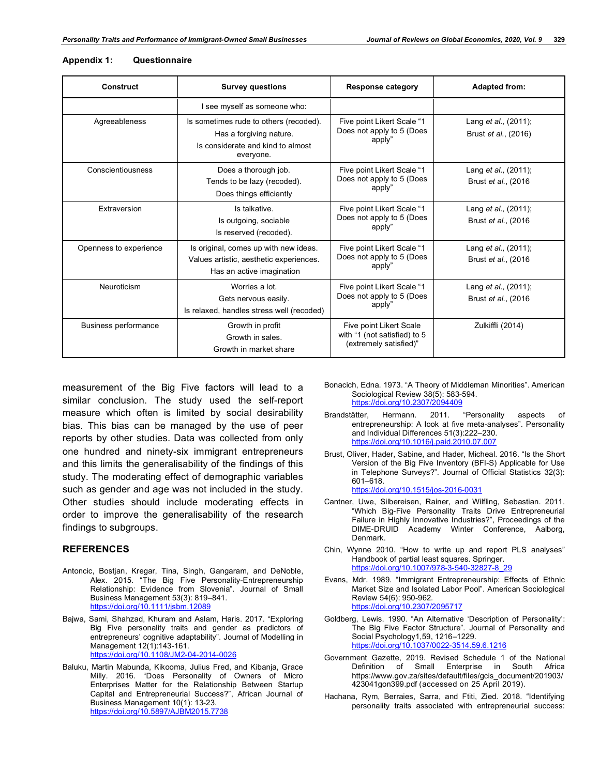| <b>Construct</b>            | <b>Survey questions</b>                                                                                             | <b>Response category</b>                                                          | <b>Adapted from:</b>                                         |
|-----------------------------|---------------------------------------------------------------------------------------------------------------------|-----------------------------------------------------------------------------------|--------------------------------------------------------------|
|                             | I see myself as someone who:                                                                                        |                                                                                   |                                                              |
| Agreeableness               | Is sometimes rude to others (recoded).<br>Has a forgiving nature.<br>Is considerate and kind to almost<br>everyone. | Five point Likert Scale "1<br>Does not apply to 5 (Does<br>apply"                 | Lang et al., (2011);<br>Brust <i>et al.</i> , (2016)         |
| Conscientiousness           | Does a thorough job.<br>Tends to be lazy (recoded).<br>Does things efficiently                                      | Five point Likert Scale "1<br>Does not apply to 5 (Does<br>apply"                 | Lang <i>et al.</i> , (2011);<br>Brust <i>et al.</i> , (2016) |
| Extraversion                | Is talkative.<br>Is outgoing, sociable<br>Is reserved (recoded).                                                    | Five point Likert Scale "1<br>Does not apply to 5 (Does<br>apply"                 | Lang <i>et al.</i> , (2011);<br>Brust et al., (2016)         |
| Openness to experience      | Is original, comes up with new ideas.<br>Values artistic, aesthetic experiences.<br>Has an active imagination       | Five point Likert Scale "1<br>Does not apply to 5 (Does<br>apply"                 | Lang <i>et al.</i> , (2011);<br>Brust et al., (2016)         |
| Neuroticism                 | Worries a lot.<br>Gets nervous easily.<br>Is relaxed, handles stress well (recoded)                                 | Five point Likert Scale "1<br>Does not apply to 5 (Does<br>apply"                 | Lang et al., (2011);<br>Brust <i>et al.</i> , (2016)         |
| <b>Business performance</b> | Growth in profit<br>Growth in sales.<br>Growth in market share                                                      | Five point Likert Scale<br>with "1 (not satisfied) to 5<br>(extremely satisfied)" | Zulkiffli (2014)                                             |

#### **Appendix 1: Questionnaire**

measurement of the Big Five factors will lead to a similar conclusion. The study used the self-report measure which often is limited by social desirability bias. This bias can be managed by the use of peer reports by other studies. Data was collected from only one hundred and ninety-six immigrant entrepreneurs and this limits the generalisability of the findings of this study. The moderating effect of demographic variables such as gender and age was not included in the study. Other studies should include moderating effects in order to improve the generalisability of the research findings to subgroups.

#### **REFERENCES**

- Antoncic, Bostjan, Kregar, Tina, Singh, Gangaram, and DeNoble, Alex. 2015. "The Big Five Personality-Entrepreneurship Relationship: Evidence from Slovenia". Journal of Small Business Management 53(3): 819–841. https://doi.org/10.1111/jsbm.12089
- Bajwa, Sami, Shahzad, Khuram and Aslam, Haris. 2017. "Exploring Big Five personality traits and gender as predictors of entrepreneurs' cognitive adaptability". Journal of Modelling in Management 12(1):143-161. https://doi.org/10.1108/JM2-04-2014-0026
- Baluku, Martin Mabunda, Kikooma, Julius Fred, and Kibanja, Grace Milly. 2016. "Does Personality of Owners of Micro Enterprises Matter for the Relationship Between Startup Capital and Entrepreneurial Success?", African Journal of Business Management 10(1): 13-23. https://doi.org/10.5897/AJBM
- Bonacich, Edna. 1973. "A Theory of Middleman Minorities". American Sociological Review 38(5): 583-594. https://doi.org/10.2307/2094409
- Brandstätter, Hermann. 2011. "Personality aspects of entrepreneurship: A look at five meta-analyses". Personality and Individual Differences 51(3):222–230. https://doi.org/10.1016/j.paid.2010.07.007
- Brust, Oliver, Hader, Sabine, and Hader, Micheal. 2016. "Is the Short Version of the Big Five Inventory (BFI-S) Applicable for Use in Telephone Surveys?". Journal of Official Statistics 32(3): 601–618.

https://doi.org/10.1515/jos-2016-0031

- Cantner, Uwe, Silbereisen, Rainer, and Wilfling, Sebastian. 2011. "Which Big-Five Personality Traits Drive Entrepreneurial Failure in Highly Innovative Industries?", Proceedings of the DIME-DRUID Academy Winter Conference, Aalborg, Denmark.
- Chin, Wynne 2010. "How to write up and report PLS analyses" Handbook of partial least squares. Springer. https://doi.org/10.1007/978-3-540-32827-8\_29
- Evans, Mdr. 1989. "Immigrant Entrepreneurship: Effects of Ethnic Market Size and Isolated Labor Pool". American Sociological Review 54(6): 950-962. https://doi.org/10.2307/2095717
- Goldberg, Lewis. 1990. "An Alternative 'Description of Personality': The Big Five Factor Structure". Journal of Personality and Social Psychology1,59, 1216–1229. https://doi.org/10.1037/0022-3514.59.6.1216
- Government Gazette, 2019. Revised Schedule 1 of the National Definition of Small Enterprise in South https://www.gov.za/sites/default/files/gcis\_document/201903/ 423041gon399.pdf (accessed on 25 April 2019).
- Hachana, Rym, Berraies, Sarra, and Ftiti, Zied. 2018. "Identifying personality traits associated with entrepreneurial success: